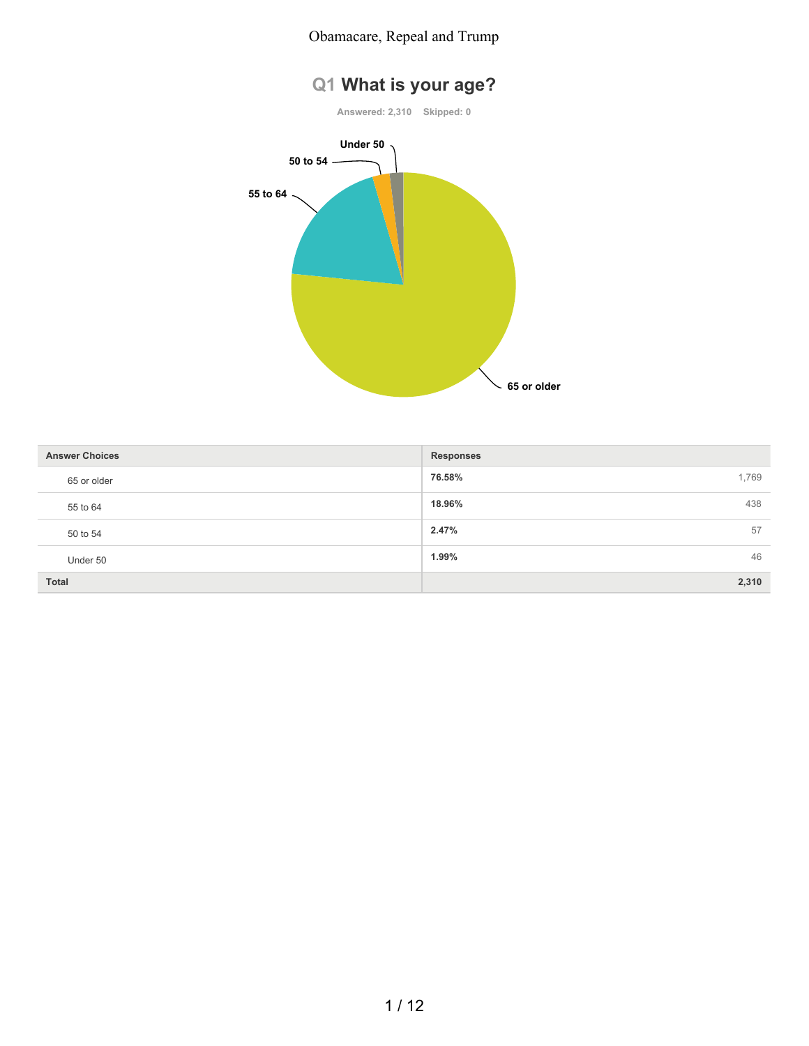#### Obamacare, Repeal and Trump





| <b>Answer Choices</b> | <b>Responses</b> |    |
|-----------------------|------------------|----|
| 65 or older           | 76.58%<br>1,769  |    |
| 55 to 64              | 438<br>18.96%    |    |
| 50 to 54              | 2.47%            | 57 |
| Under 50              | 1.99%            | 46 |
| <b>Total</b>          | 2,310            |    |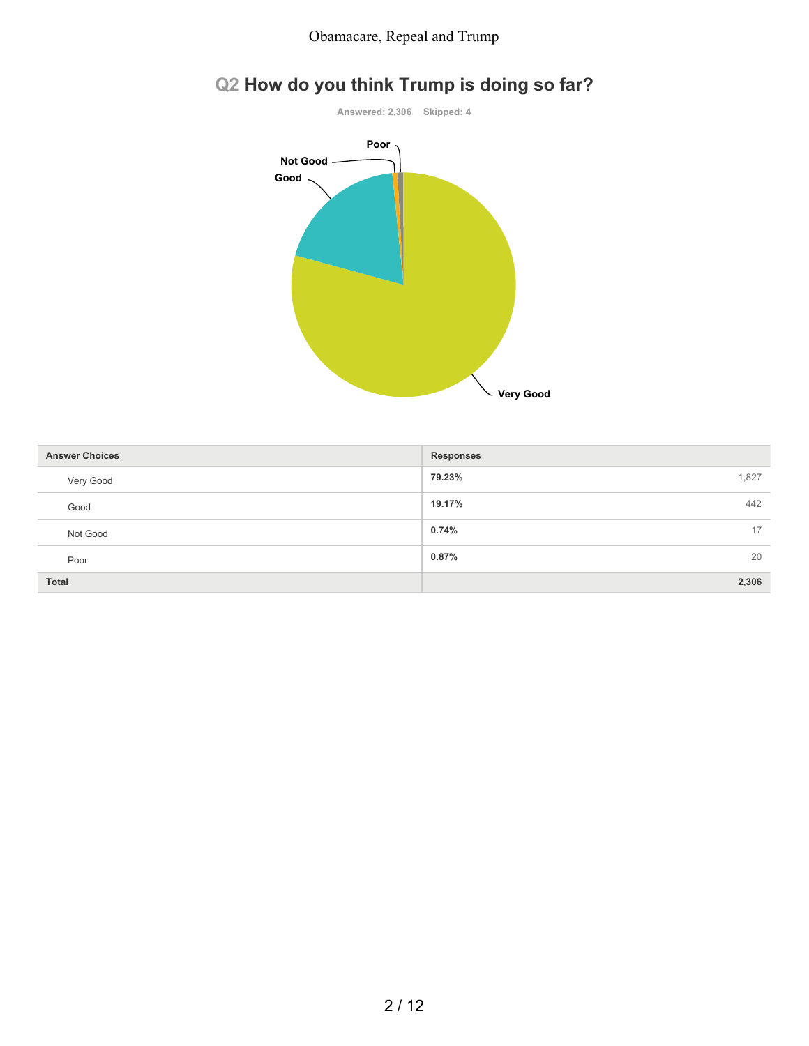

# **Q2 How do you think Trump is doing so far?**

| <b>Answer Choices</b> | <b>Responses</b> |
|-----------------------|------------------|
| Very Good             | 1,827<br>79.23%  |
| Good                  | 442<br>19.17%    |
| Not Good              | 0.74%<br>17      |
| Poor                  | 20<br>$0.87\%$   |
| <b>Total</b>          | 2,306            |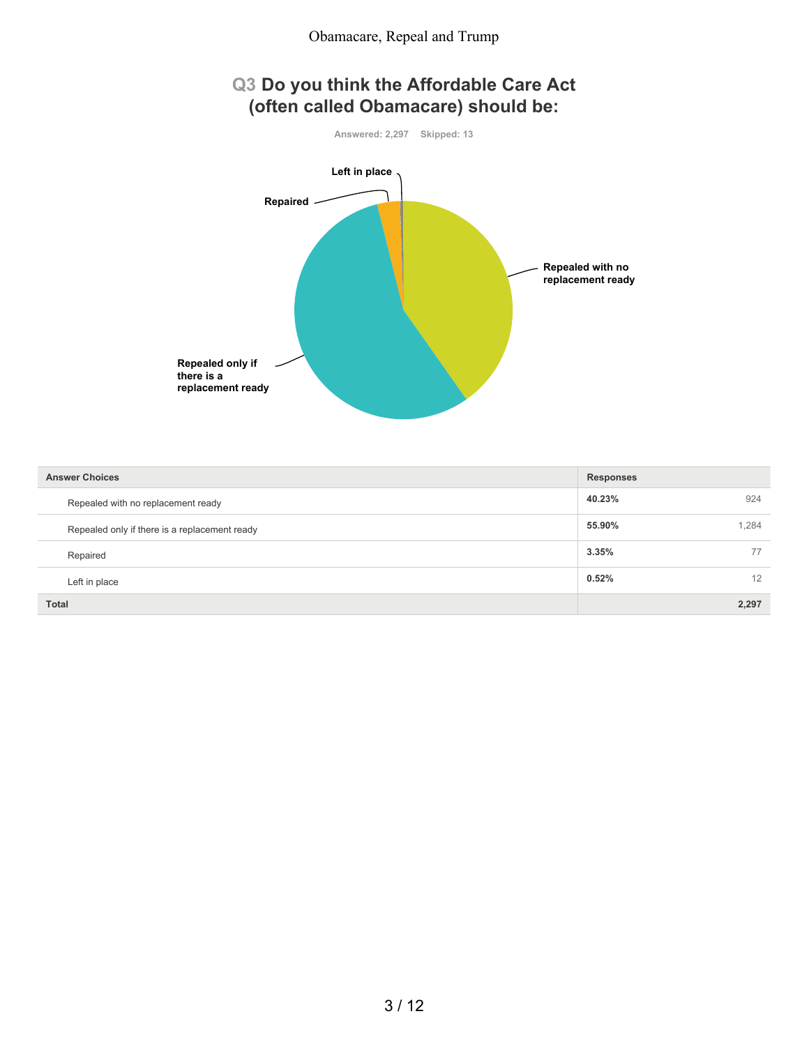

| <b>Answer Choices</b>                         | <b>Responses</b> |
|-----------------------------------------------|------------------|
| Repealed with no replacement ready            | 40.23%<br>924    |
| Repealed only if there is a replacement ready | 1,284<br>55.90%  |
| Repaired                                      | 3.35%<br>77      |
| Left in place                                 | 0.52%<br>12      |
| <b>Total</b>                                  | 2,297            |

#### 3 / 12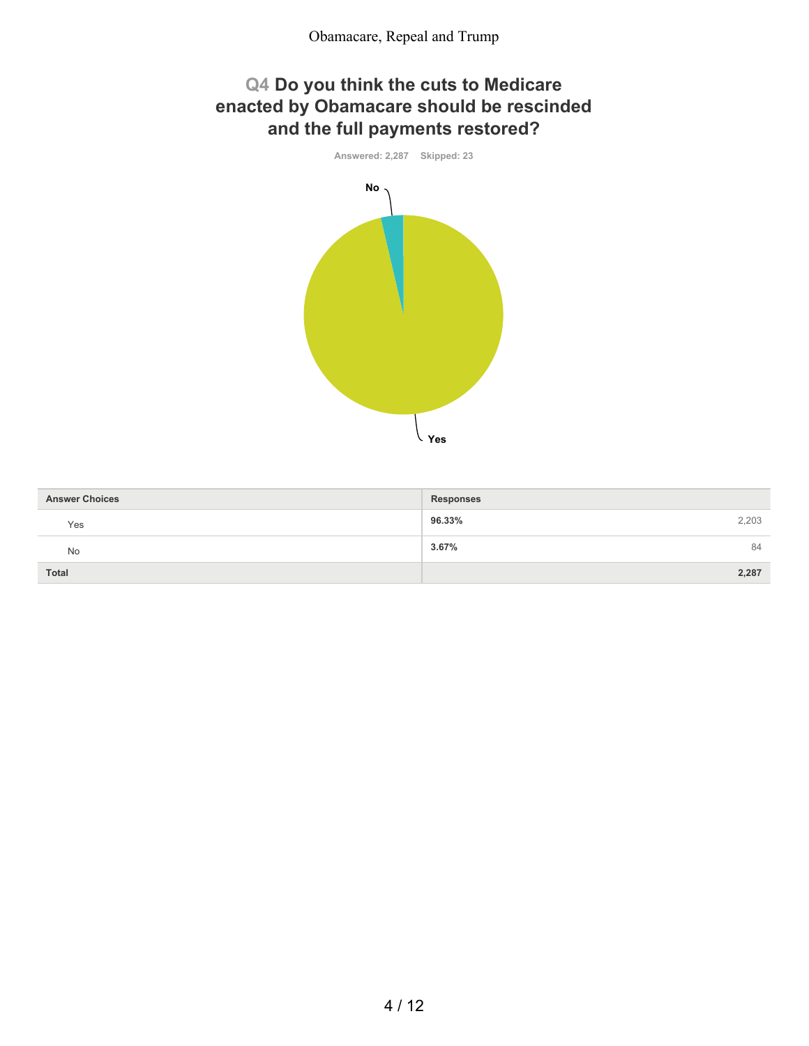## **Q4 Do you think the cuts to Medicare enacted by Obamacare should be rescinded and the full payments restored?**



| <b>Answer Choices</b> | <b>Responses</b> |
|-----------------------|------------------|
| Yes                   | 96.33%<br>2,203  |
| No                    | 3.67%<br>84      |
| <b>Total</b>          | 2,287            |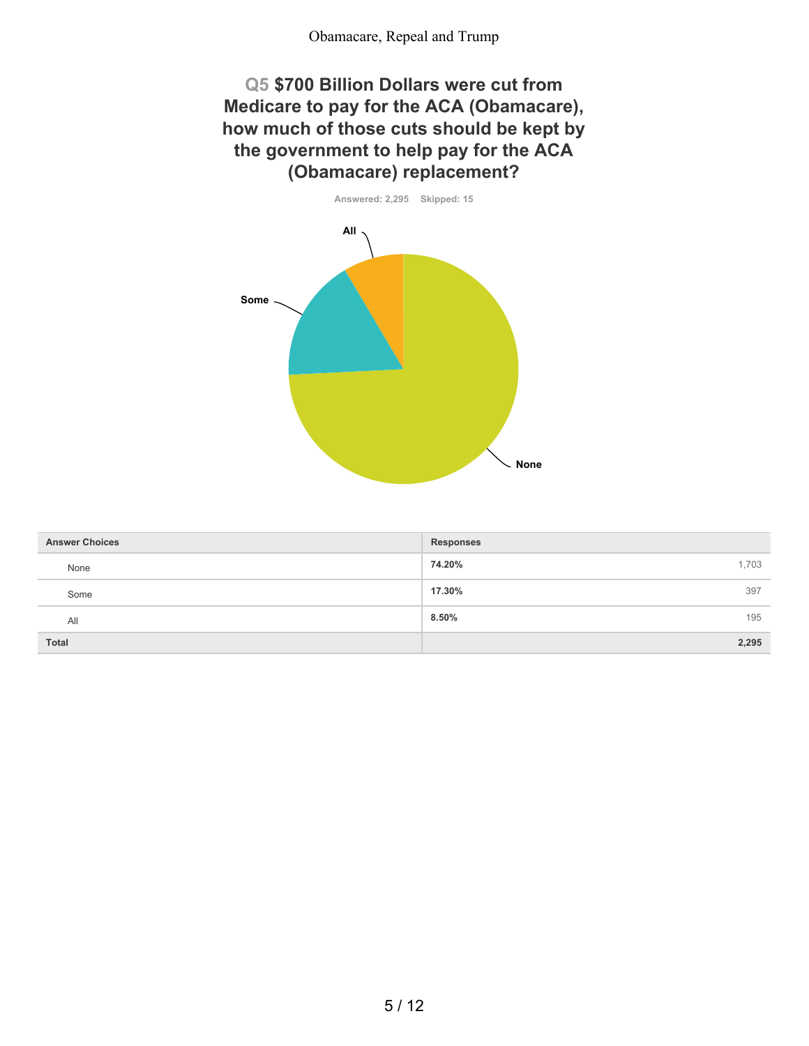### **Q5 \$700 Billion Dollars were cut from Medicare to pay for the ACA (Obamacare), how much of those cuts should be kept by the government to help pay for the ACA (Obamacare) replacement?**



| <b>Answer Choices</b> | <b>Responses</b> |
|-----------------------|------------------|
| None                  | 74.20%<br>1,703  |
| Some                  | 17.30%<br>397    |
| All                   | 8.50%<br>195     |
| <b>Total</b>          | 2,295            |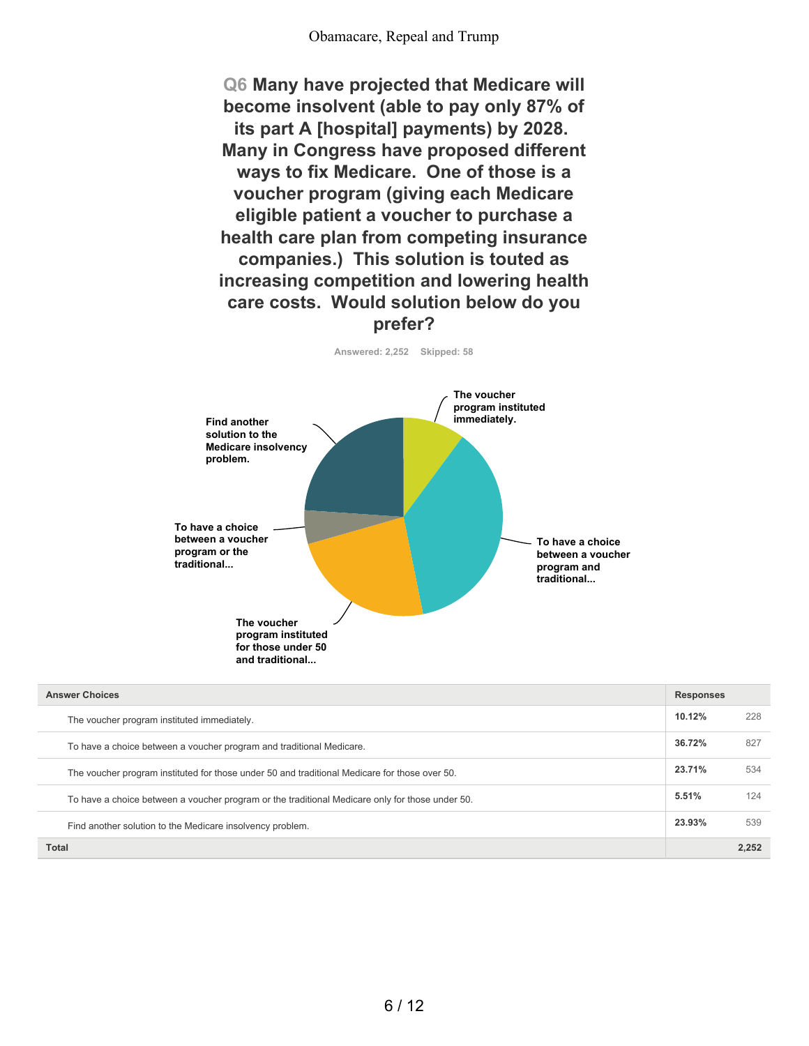**Q6 Many have projected that Medicare will become insolvent (able to pay only 87% of its part A [hospital] payments) by 2028. Many in Congress have proposed different ways to fix Medicare. One of those is a voucher program (giving each Medicare eligible patient a voucher to purchase a health care plan from competing insurance companies.) This solution is touted as increasing competition and lowering health care costs. Would solution below do you prefer?**

**Answered: 2,252 Skipped: 58**



| <b>Answer Choices</b>                                                                           |        | <b>Responses</b> |  |
|-------------------------------------------------------------------------------------------------|--------|------------------|--|
| The voucher program instituted immediately.                                                     | 10.12% | 228              |  |
| To have a choice between a voucher program and traditional Medicare.                            | 36.72% | 827              |  |
| The voucher program instituted for those under 50 and traditional Medicare for those over 50.   | 23.71% | 534              |  |
| To have a choice between a voucher program or the traditional Medicare only for those under 50. | 5.51%  | 124              |  |
| Find another solution to the Medicare insolvency problem.                                       | 23.93% | 539              |  |
| Total                                                                                           |        | 2.252            |  |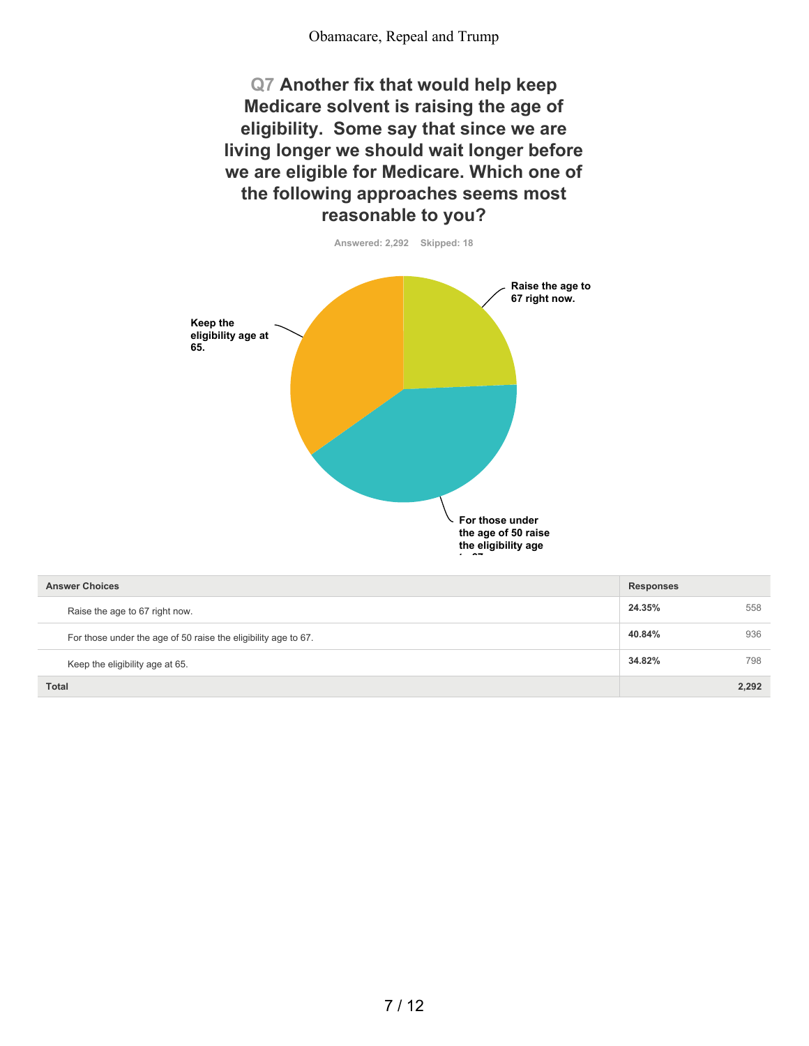#### Obamacare, Repeal and Trump

**Q7 Another fix that would help keep Medicare solvent is raising the age of eligibility. Some say that since we are living longer we should wait longer before we are eligible for Medicare. Which one of the following approaches seems most reasonable to you?**



| <b>Answer Choices</b>                                          | <b>Responses</b> |       |
|----------------------------------------------------------------|------------------|-------|
| Raise the age to 67 right now.                                 | 24.35%           | 558   |
| For those under the age of 50 raise the eligibility age to 67. | 40.84%           | 936   |
| Keep the eligibility age at 65.                                | 34.82%           | 798   |
| <b>Total</b>                                                   |                  | 2.292 |

7 / 12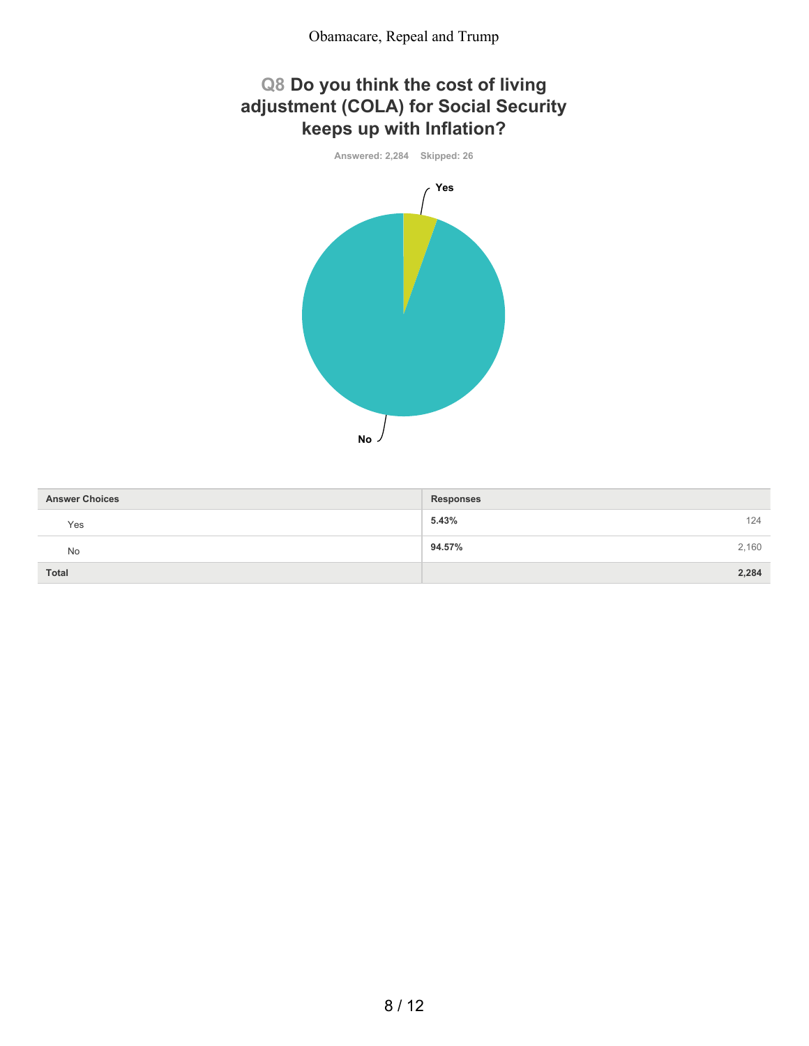## **Q8 Do you think the cost of living adjustment (COLA) for Social Security keeps up with Inflation?**



| <b>Answer Choices</b> | <b>Responses</b> |  |
|-----------------------|------------------|--|
| Yes                   | 5.43%<br>124     |  |
| No                    | 94.57%<br>2,160  |  |
| <b>Total</b>          | 2,284            |  |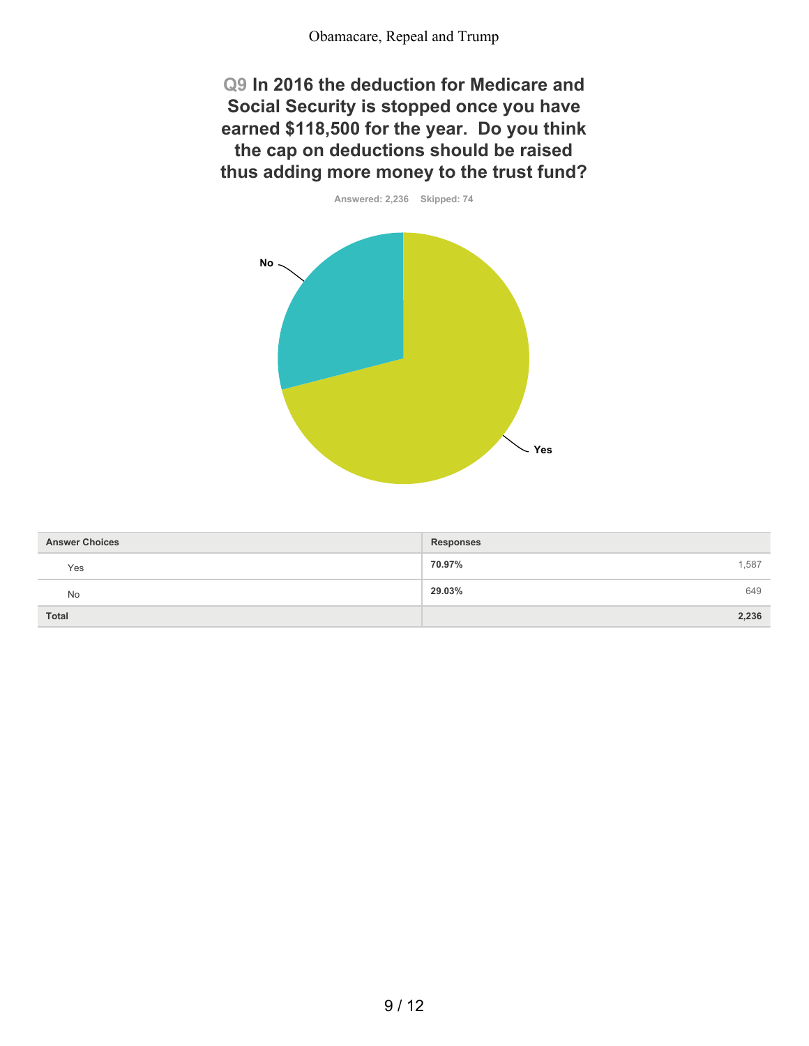**Q9 In 2016 the deduction for Medicare and Social Security is stopped once you have earned \$118,500 for the year. Do you think the cap on deductions should be raised thus adding more money to the trust fund?**



| <b>Answer Choices</b> | <b>Responses</b> |
|-----------------------|------------------|
| Yes                   | 70.97%<br>1,587  |
| No                    | 29.03%<br>649    |
| <b>Total</b>          | 2,236            |